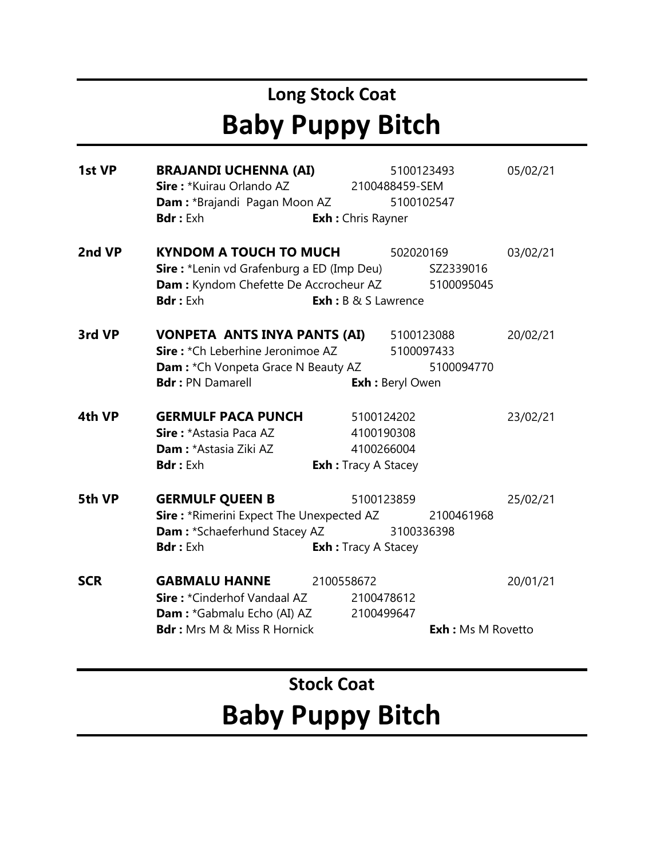# **Long Stock Coat Baby Puppy Bitch**

| 1st VP     | BRAJANDI UCHENNA (AI)                                      |                             | 5100123493               | 05/02/21 |
|------------|------------------------------------------------------------|-----------------------------|--------------------------|----------|
|            | Sire: *Kuirau Orlando AZ                                   | 2100488459-SEM              |                          |          |
|            | <b>Dam:</b> *Brajandi Pagan Moon AZ                        |                             | 5100102547               |          |
|            | <b>Bdr:</b> Exh                                            | <b>Exh:</b> Chris Rayner    |                          |          |
| 2nd VP     | <b>KYNDOM A TOUCH TO MUCH</b>                              |                             | 502020169                | 03/02/21 |
|            | <b>Sire:</b> *Lenin vd Grafenburg a ED (Imp Deu) SZ2339016 |                             |                          |          |
|            | <b>Dam:</b> Kyndom Chefette De Accrocheur AZ               |                             | 5100095045               |          |
|            | <b>Bdr:</b> Exh                                            | <b>Exh</b> : B & S Lawrence |                          |          |
| 3rd VP     | VONPETA ANTS INYA PANTS (AI)                               |                             | 5100123088               | 20/02/21 |
|            | Sire: *Ch Leberhine Jeronimoe AZ                           |                             | 5100097433               |          |
|            | <b>Dam:</b> *Ch Vonpeta Grace N Beauty AZ                  |                             | 5100094770               |          |
|            | <b>Bdr: PN Damarell</b>                                    |                             | <b>Exh:</b> Beryl Owen   |          |
| 4th VP     | <b>GERMULF PACA PUNCH</b>                                  | 5100124202                  |                          | 23/02/21 |
|            | Sire: *Astasia Paca AZ                                     | 4100190308                  |                          |          |
|            | <b>Dam: *Astasia Ziki AZ</b>                               | 4100266004                  |                          |          |
|            | <b>Bdr:</b> Exh                                            | <b>Exh:</b> Tracy A Stacey  |                          |          |
| 5th VP     | <b>GERMULF QUEEN B</b>                                     | 5100123859                  |                          | 25/02/21 |
|            | <b>Sire:</b> *Rimerini Expect The Unexpected AZ            |                             | 2100461968               |          |
|            | <b>Dam:</b> *Schaeferhund Stacey AZ                        |                             | 3100336398               |          |
|            | <b>Bdr:</b> Exh                                            | <b>Exh:</b> Tracy A Stacey  |                          |          |
| <b>SCR</b> | <b>GABMALU HANNE</b>                                       | 2100558672                  |                          | 20/01/21 |
|            | <b>Sire: *</b> Cinderhof Vandaal AZ                        | 2100478612                  |                          |          |
|            | <b>Dam :</b> *Gabmalu Echo (AI) AZ                         | 2100499647                  |                          |          |
|            | <b>Bdr:</b> Mrs M & Miss R Hornick                         |                             | <b>Exh:</b> Ms M Rovetto |          |
|            |                                                            |                             |                          |          |

# **Stock Coat Baby Puppy Bitch**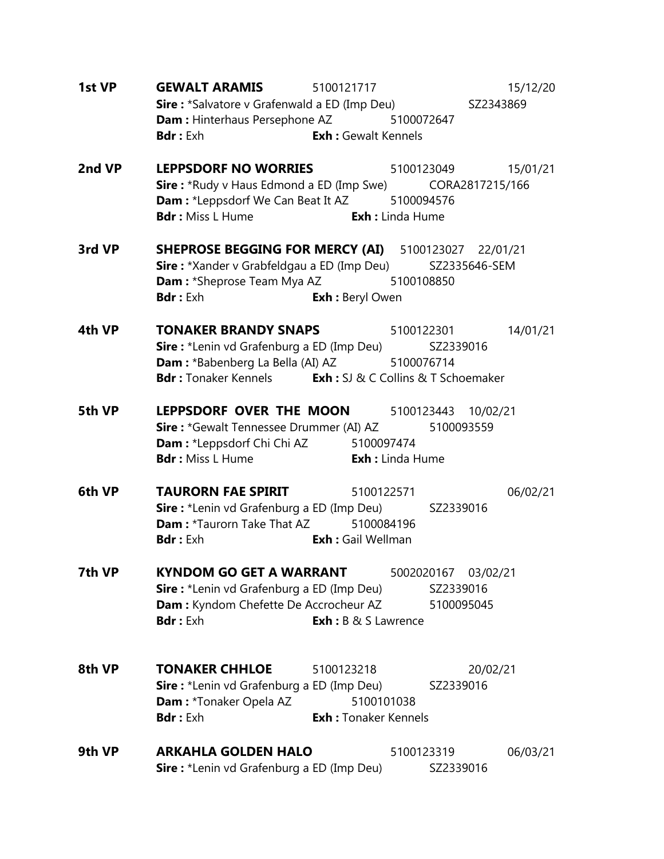| 1st VP | <b>GEWALT ARAMIS</b><br>5100121717<br>15/12/20<br>Sire: *Salvatore v Grafenwald a ED (Imp Deu) SZ2343869<br><b>Dam:</b> Hinterhaus Persephone AZ 5100072647<br><b>Exh:</b> Gewalt Kennels<br><b>Bdr</b> : Exh                                 |
|--------|-----------------------------------------------------------------------------------------------------------------------------------------------------------------------------------------------------------------------------------------------|
| 2nd VP | <b>LEPPSDORF NO WORRIES</b> 5100123049 15/01/21<br><b>Sire:</b> *Rudy v Haus Edmond a ED (Imp Swe) CORA2817215/166<br><b>Dam:</b> *Leppsdorf We Can Beat It AZ 5100094576<br><b>Bdr</b> : Miss L Hume <b>Exh:</b> Linda Hume                  |
| 3rd VP | <b>SHEPROSE BEGGING FOR MERCY (AI)</b> 5100123027 22/01/21<br>Sire: *Xander v Grabfeldgau a ED (Imp Deu) SZ2335646-SEM<br><b>Dam:</b> *Sheprose Team Mya AZ 5100108850<br><b>Bdr :</b> Exh<br><b>Exh: Beryl Owen</b>                          |
| 4th VP | <b>TONAKER BRANDY SNAPS</b> 5100122301 14/01/21<br><b>Sire :</b> *Lenin vd Grafenburg a ED (Imp Deu) SZ2339016<br><b>Dam:</b> *Babenberg La Bella (AI) AZ 5100076714<br><b>Bdr:</b> Tonaker Kennels <b>Exh:</b> SJ & C Collins & T Schoemaker |
| 5th VP | <b>LEPPSDORF OVER THE MOON</b> 5100123443 10/02/21<br><b>Sire:</b> *Gewalt Tennessee Drummer (AI) AZ 5100093559<br><b>Dam:</b> *Leppsdorf Chi Chi AZ 5100097474<br><b>Bdr:</b> Miss L Hume<br><b>Exh:</b> Linda Hume                          |
| 6th VP | <b>TAURORN FAE SPIRIT</b><br>5100122571<br>06/02/21<br>Sire: *Lenin vd Grafenburg a ED (Imp Deu) SZ2339016<br><b>Dam: *Taurorn Take That AZ</b> 5100084196<br><b>Exh :</b> Gail Wellman<br><b>Bdr</b> : Exh                                   |
| 7th VP | <b>KYNDOM GO GET A WARRANT</b><br>5002020167 03/02/21<br><b>Sire:</b> *Lenin vd Grafenburg a ED (Imp Deu)<br>SZ2339016<br>Dam : Kyndom Chefette De Accrocheur AZ<br>5100095045<br><b>Exh</b> : B & S Lawrence<br><b>Bdr:</b> Exh              |
| 8th VP | <b>TONAKER CHHLOE</b><br>5100123218<br>20/02/21<br><b>Sire :</b> *Lenin vd Grafenburg a ED (Imp Deu)<br>SZ2339016<br><b>Dam: *Tonaker Opela AZ</b><br>5100101038<br><b>Exh: Tonaker Kennels</b><br><b>Bdr:</b> Exh                            |
| 9th VP | <b>ARKAHLA GOLDEN HALO</b><br>5100123319<br>06/03/21<br><b>Sire :</b> *Lenin vd Grafenburg a ED (Imp Deu)<br>SZ2339016                                                                                                                        |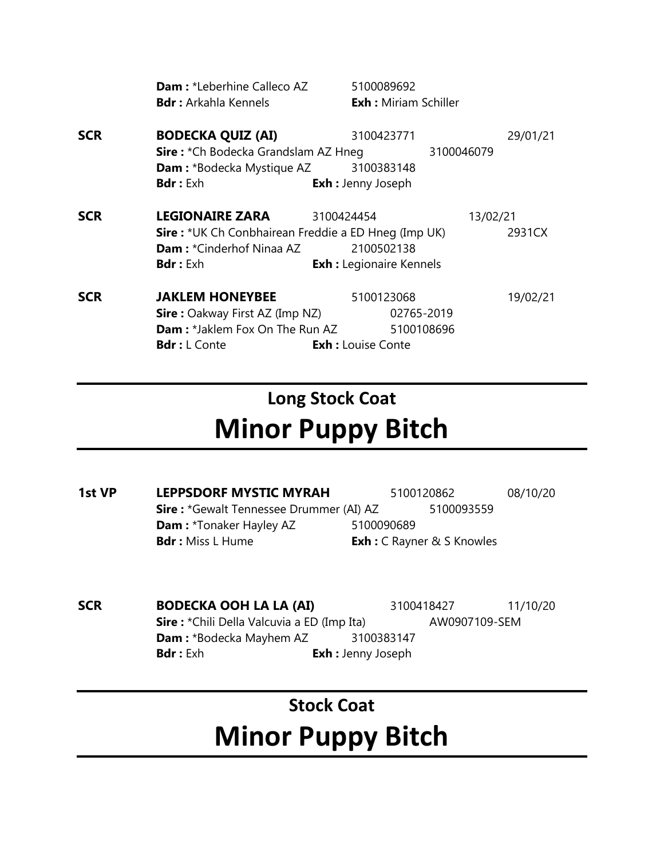|            | <b>Dam:</b> *Leberhine Calleco AZ<br><b>Bdr:</b> Arkahla Kennels                              | 5100089692<br><b>Exh:</b> Miriam Schiller |            |          |
|------------|-----------------------------------------------------------------------------------------------|-------------------------------------------|------------|----------|
| <b>SCR</b> | <b>BODECKA QUIZ (AI)</b><br>Sire: *Ch Bodecka Grandslam AZ Hneg                               | 3100423771                                | 3100046079 | 29/01/21 |
|            | <b>Dam: *Bodecka Mystique AZ</b><br><b>Bdr:</b> Exh                                           | 3100383148<br><b>Exh:</b> Jenny Joseph    |            |          |
| <b>SCR</b> | <b>LEGIONAIRE ZARA</b>                                                                        | 3100424454                                | 13/02/21   |          |
|            | <b>Sire:</b> *UK Ch Conbhairean Freddie a ED Hneg (Imp UK)<br><b>Dam:</b> *Cinderhof Ninaa AZ | 2100502138                                |            | 2931CX   |
|            | <b>Bdr:</b> Exh                                                                               | <b>Exh :</b> Legionaire Kennels           |            |          |
| <b>SCR</b> | <b>JAKLEM HONEYBEE</b>                                                                        | 5100123068                                |            | 19/02/21 |
|            | <b>Sire:</b> Oakway First AZ (Imp NZ)                                                         | 02765-2019                                |            |          |
|            | <b>Dam:</b> *Jaklem Fox On The Run AZ                                                         | 5100108696                                |            |          |
|            | <b>Bdr</b> : L Conte                                                                          | <b>Exh:</b> Louise Conte                  |            |          |

## **Long Stock Coat Minor Puppy Bitch**

- **1st VP LEPPSDORF MYSTIC MYRAH** 5100120862 08/10/20 **Sire :** \*Gewalt Tennessee Drummer (AI) AZ 5100093559 **Dam :** \*Tonaker Hayley AZ 5100090689 **Bdr :** Miss L Hume **Exh :** C Rayner & S Knowles
- **SCR BODECKA OOH LA LA (AI)** 3100418427 11/10/20 **Sire :** \*Chili Della Valcuvia a ED (Imp Ita) AW0907109-SEM **Dam :** \*Bodecka Mayhem AZ 3100383147 **Bdr :** Exh **Exh :** Jenny Joseph

### **Stock Coat Minor Puppy Bitch**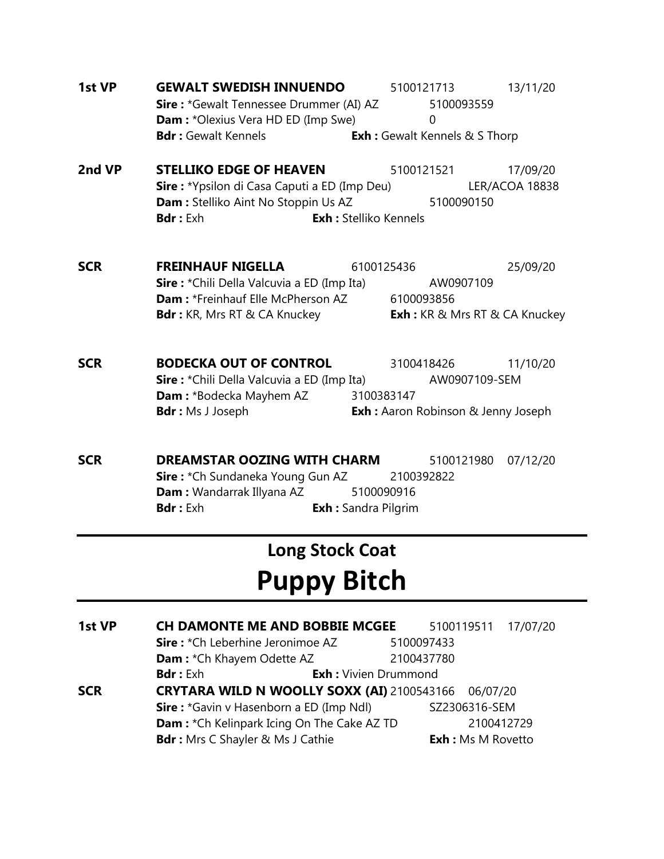- **1st VP GEWALT SWEDISH INNUENDO** 5100121713 13/11/20 **Sire :** \*Gewalt Tennessee Drummer (AI) AZ 5100093559 **Dam :** \*Olexius Vera HD ED (Imp Swe) 0 **Bdr :** Gewalt Kennels **Exh :** Gewalt Kennels & S Thorp
- **2nd VP STELLIKO EDGE OF HEAVEN** 5100121521 17/09/20 **Sire :** \*Ypsilon di Casa Caputi a ED (Imp Deu) LER/ACOA 18838 **Dam :** Stelliko Aint No Stoppin Us AZ 5100090150 **Bdr :** Exh **Exh :** Stelliko Kennels
- **SCR FREINHAUF NIGELLA** 6100125436 25/09/20 **Sire :** \*Chili Della Valcuvia a ED (Imp Ita) AW0907109 **Dam :** \*Freinhauf Elle McPherson AZ 6100093856 **Bdr :** KR, Mrs RT & CA Knuckey **Exh :** KR & Mrs RT & CA Knuckey
- **SCR BODECKA OUT OF CONTROL 3100418426 11/10/20 Sire :** \*Chili Della Valcuvia a ED (Imp Ita) AW0907109-SEM **Dam :** \*Bodecka Mayhem AZ 3100383147 **Bdr :** Ms J Joseph **Exh :** Aaron Robinson & Jenny Joseph
- **SCR BREAMSTAR OOZING WITH CHARM** 5100121980 07/12/20 **Sire :** \*Ch Sundaneka Young Gun AZ 2100392822 **Dam :** Wandarrak Illyana AZ 5100090916 **Bdr :** Exh **Exh :** Sandra Pilgrim

### **Long Stock Coat Puppy Bitch**

**1st VP CH DAMONTE ME AND BOBBIE MCGEE** 5100119511 17/07/20 **Sire :** \*Ch Leberhine Jeronimoe AZ 5100097433 **Dam :** \*Ch Khayem Odette AZ 2100437780 **Bdr :** Exh **Exh :** Vivien Drummond **SCR CRYTARA WILD N WOOLLY SOXX (AI)** 2100543166 06/07/20 **Sire :** \*Gavin v Hasenborn a ED (Imp Ndl) SZ2306316-SEM **Dam :** \*Ch Kelinpark Icing On The Cake AZ TD 2100412729 **Bdr :** Mrs C Shayler & Ms J Cathie **Exh :** Ms M Rovetto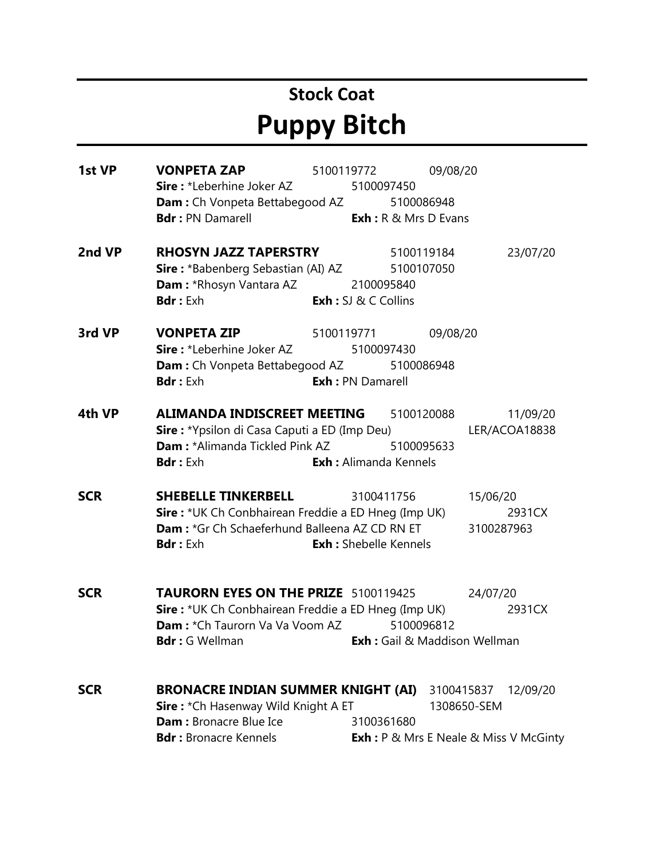### **Stock Coat Puppy Bitch**

**1st VP VONPETA ZAP** 5100119772 09/08/20 **Sire :** \*Leberhine Joker AZ 5100097450 **Dam :** Ch Vonpeta Bettabegood AZ 5100086948 **Bdr :** PN Damarell **Exh :** R & Mrs D Evans **2nd VP RHOSYN JAZZ TAPERSTRY** 5100119184 23/07/20 **Sire :** \*Babenberg Sebastian (AI) AZ 5100107050 **Dam :** \*Rhosyn Vantara AZ 2100095840 **Bdr :** Exh **Exh :** SJ & C Collins **3rd VP VONPETA ZIP** 5100119771 09/08/20 **Sire** : \*Leberhine Joker AZ 5100097430 **Dam :** Ch Vonpeta Bettabegood AZ 5100086948 **Bdr :** Exh **Exh :** PN Damarell **4th VP ALIMANDA INDISCREET MEETING** 5100120088 11/09/20 **Sire :** \*Ypsilon di Casa Caputi a ED (Imp Deu) LER/ACOA18838 **Dam :** \*Alimanda Tickled Pink AZ 5100095633 **Bdr :** Exh **Exh :** Alimanda Kennels **SCR SHEBELLE TINKERBELL** 3100411756 15/06/20 **Sire :** \*UK Ch Conbhairean Freddie a ED Hneg (Imp UK) 2931CX **Dam :** \*Gr Ch Schaeferhund Balleena AZ CD RN ET 3100287963 **Bdr :** Exh **Exh :** Shebelle Kennels **SCR TAURORN EYES ON THE PRIZE** 5100119425 24/07/20 **Sire :** \*UK Ch Conbhairean Freddie a ED Hneg (Imp UK) 2931CX **Dam :** \*Ch Taurorn Va Va Voom AZ 5100096812 **Bdr :** G Wellman **Exh :** Gail & Maddison Wellman **SCR BRONACRE INDIAN SUMMER KNIGHT (AI)** 3100415837 12/09/20 **Sire :** \*Ch Hasenway Wild Knight A ET 1308650-SEM **Dam :** Bronacre Blue Ice 3100361680 **Bdr :** Bronacre Kennels **Exh :** P & Mrs E Neale & Miss V McGinty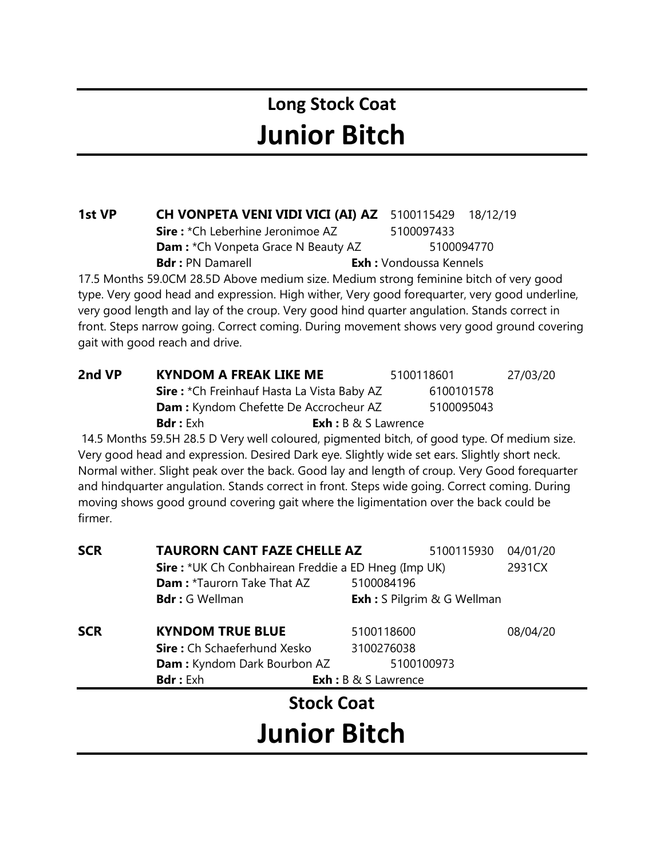#### **Long Stock Coat Junior Bitch**

#### **1st VP CH VONPETA VENI VIDI VICI (AI) AZ** 5100115429 18/12/19

**Sire**: \*Ch Leberhine Jeronimoe AZ 5100097433 **Dam :** \*Ch Vonpeta Grace N Beauty AZ 5100094770

**Bdr :** PN Damarell **Exh :** Vondoussa Kennels

17.5 Months 59.0CM 28.5D Above medium size. Medium strong feminine bitch of very good type. Very good head and expression. High wither, Very good forequarter, very good underline, very good length and lay of the croup. Very good hind quarter angulation. Stands correct in front. Steps narrow going. Correct coming. During movement shows very good ground covering gait with good reach and drive.

| 2nd VP | <b>KYNDOM A FREAK LIKE ME</b>                     |                                | 5100118601 | 27/03/20 |
|--------|---------------------------------------------------|--------------------------------|------------|----------|
|        | <b>Sire:</b> *Ch Freinhauf Hasta La Vista Baby AZ |                                | 6100101578 |          |
|        | <b>Dam:</b> Kyndom Chefette De Accrocheur AZ      |                                | 5100095043 |          |
|        | <b>Bdr</b> : $Exh$                                | <b>Exh</b> : $B \& S$ Lawrence |            |          |

14.5 Months 59.5H 28.5 D Very well coloured, pigmented bitch, of good type. Of medium size. Very good head and expression. Desired Dark eye. Slightly wide set ears. Slightly short neck. Normal wither. Slight peak over the back. Good lay and length of croup. Very Good forequarter and hindquarter angulation. Stands correct in front. Steps wide going. Correct coming. During moving shows good ground covering gait where the ligimentation over the back could be firmer.

| <b>SCR</b> | <b>TAURORN CANT FAZE CHELLE AZ</b>                         |                                    | 5100115930 | 04/01/20 |
|------------|------------------------------------------------------------|------------------------------------|------------|----------|
|            | <b>Sire:</b> *UK Ch Conbhairean Freddie a ED Hneg (Imp UK) |                                    |            | 2931CX   |
|            | <b>Dam: *Taurorn Take That AZ</b>                          | 5100084196                         |            |          |
|            | <b>Bdr</b> : G Wellman                                     | <b>Exh</b> : S Pilgrim & G Wellman |            |          |
| <b>SCR</b> | <b>KYNDOM TRUE BLUE</b>                                    | 5100118600                         |            | 08/04/20 |
|            | Sire: Ch Schaeferhund Xesko                                | 3100276038                         |            |          |
|            | <b>Dam:</b> Kyndom Dark Bourbon AZ                         | 5100100973                         |            |          |
|            | <b>Bdr</b> : Exh                                           | <b>Exh</b> : B & S Lawrence        |            |          |
|            | <b>Stock Coat</b>                                          |                                    |            |          |
|            | <b>Junior Bitch</b>                                        |                                    |            |          |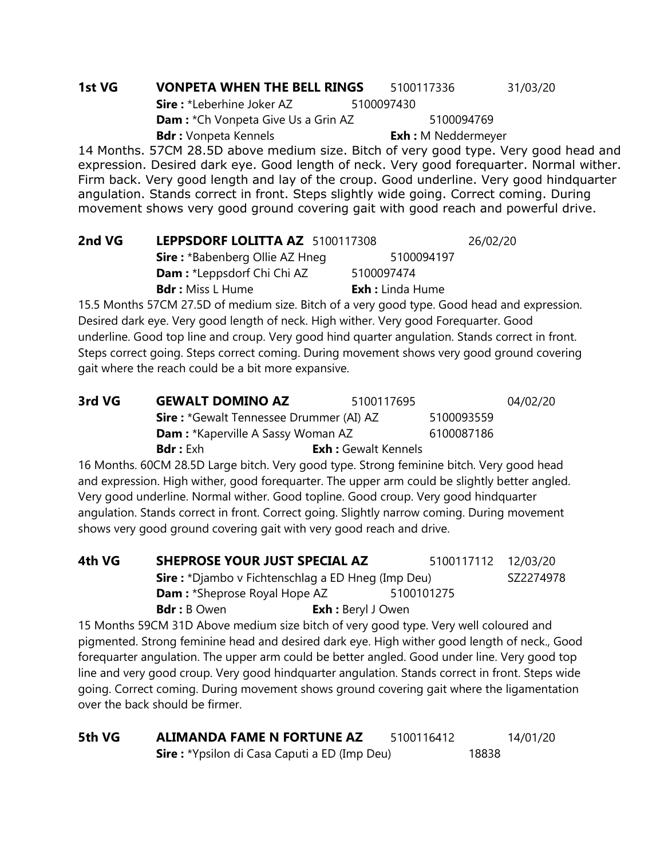#### **1st VG VONPETA WHEN THE BELL RINGS** 5100117336 31/03/20 **Sire :** \*Leberhine Joker AZ 5100097430 **Dam :** \*Ch Vonpeta Give Us a Grin AZ 5100094769 **Bdr :** Vonpeta Kennels **Exh :** M Neddermeyer

14 Months. 57CM 28.5D above medium size. Bitch of very good type. Very good head and expression. Desired dark eye. Good length of neck. Very good forequarter. Normal wither. Firm back. Very good length and lay of the croup. Good underline. Very good hindquarter angulation. Stands correct in front. Steps slightly wide going. Correct coming. During movement shows very good ground covering gait with good reach and powerful drive.

| 2nd VG | LEPPSDORF LOLITTA AZ 5100117308                                                                                                                                                                                                      |                         | 26/02/20 |
|--------|--------------------------------------------------------------------------------------------------------------------------------------------------------------------------------------------------------------------------------------|-------------------------|----------|
|        | <b>Sire:</b> *Babenberg Ollie AZ Hneg                                                                                                                                                                                                | 5100094197              |          |
|        | <b>Dam:</b> *Leppsdorf Chi Chi AZ                                                                                                                                                                                                    | 5100097474              |          |
|        | <b>Bdr:</b> Miss L Hume                                                                                                                                                                                                              | <b>Exh</b> : Linda Hume |          |
|        | $A \in \mathbb{R}$ is a set of the set of the set of the set of the set of the set of the set of the set of the set of the set of the set of the set of the set of the set of the set of the set of the set of the set of the set of |                         |          |

15.5 Months 57CM 27.5D of medium size. Bitch of a very good type. Good head and expression. Desired dark eye. Very good length of neck. High wither. Very good Forequarter. Good underline. Good top line and croup. Very good hind quarter angulation. Stands correct in front. Steps correct going. Steps correct coming. During movement shows very good ground covering gait where the reach could be a bit more expansive.

| 3rd VG | <b>GEWALT DOMINO AZ</b>                        | 5100117695                 |            | 04/02/20 |
|--------|------------------------------------------------|----------------------------|------------|----------|
|        | <b>Sire: *Gewalt Tennessee Drummer (AI) AZ</b> |                            | 5100093559 |          |
|        | <b>Dam:</b> *Kaperville A Sassy Woman AZ       |                            | 6100087186 |          |
|        | <b>Bdr</b> : Exh                               | <b>Exh:</b> Gewalt Kennels |            |          |

16 Months. 60CM 28.5D Large bitch. Very good type. Strong feminine bitch. Very good head and expression. High wither, good forequarter. The upper arm could be slightly better angled. Very good underline. Normal wither. Good topline. Good croup. Very good hindquarter angulation. Stands correct in front. Correct going. Slightly narrow coming. During movement shows very good ground covering gait with very good reach and drive.

| 4th VG                                            | SHEPROSE YOUR JUST SPECIAL AZ                                                        |                           | 5100117112 | 12/03/20  |
|---------------------------------------------------|--------------------------------------------------------------------------------------|---------------------------|------------|-----------|
|                                                   | <b>Sire:</b> *Djambo v Fichtenschlag a ED Hneg (Imp Deu)                             |                           |            | SZ2274978 |
| <b>Dam:</b> *Sheprose Royal Hope AZ<br>5100101275 |                                                                                      |                           |            |           |
|                                                   | <b>Bdr</b> : B Owen                                                                  | <b>Exh</b> : Beryl J Owen |            |           |
|                                                   | 15 Months 59CM 31D Above medium size bitch of very good type. Very well coloured and |                           |            |           |

pigmented. Strong feminine head and desired dark eye. High wither good length of neck., Good forequarter angulation. The upper arm could be better angled. Good under line. Very good top line and very good croup. Very good hindquarter angulation. Stands correct in front. Steps wide going. Correct coming. During movement shows ground covering gait where the ligamentation over the back should be firmer.

| 5th VG | <b>ALIMANDA FAME N FORTUNE AZ</b>                    | 5100116412 |       | 14/01/20 |
|--------|------------------------------------------------------|------------|-------|----------|
|        | <b>Sire :</b> *Ypsilon di Casa Caputi a ED (Imp Deu) |            | 18838 |          |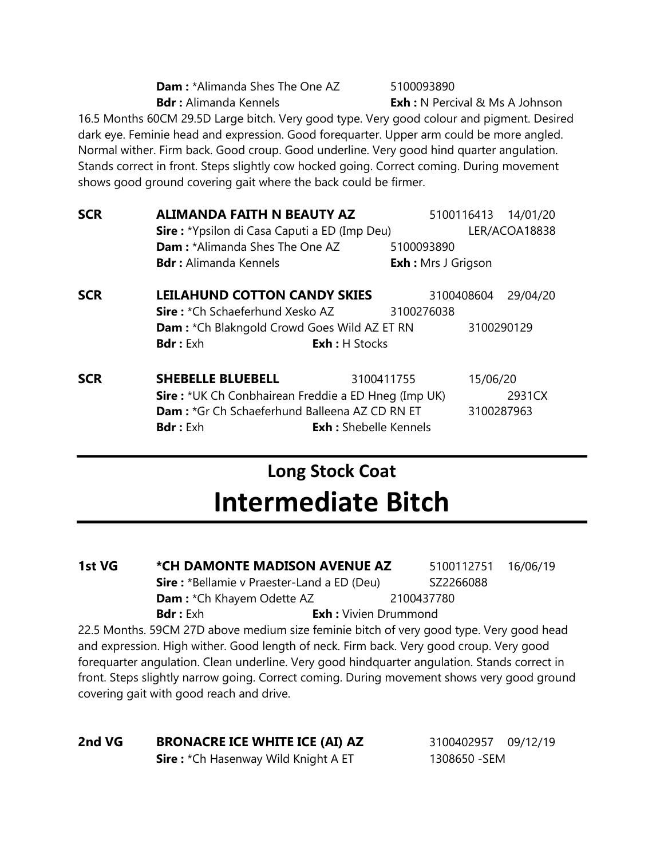| <b>Dam: *Alimanda Shes The One AZ</b> |
|---------------------------------------|
| <b>Bdr</b> : Alimanda Kennels         |

**Dam :** \*Alimanda Shes The One AZ 5100093890

**Exh :** N Percival & Ms A Johnson

16.5 Months 60CM 29.5D Large bitch. Very good type. Very good colour and pigment. Desired dark eye. Feminie head and expression. Good forequarter. Upper arm could be more angled. Normal wither. Firm back. Good croup. Good underline. Very good hind quarter angulation. Stands correct in front. Steps slightly cow hocked going. Correct coming. During movement shows good ground covering gait where the back could be firmer.

| <b>SCR</b> | <b>ALIMANDA FAITH N BEAUTY AZ</b>                          |                          | 5100116413 14/01/20       |               |
|------------|------------------------------------------------------------|--------------------------|---------------------------|---------------|
|            | <b>Sire:</b> *Ypsilon di Casa Caputi a ED (Imp Deu)        |                          |                           | LER/ACOA18838 |
|            | <b>Dam: *Alimanda Shes The One AZ</b>                      | 5100093890               |                           |               |
|            | <b>Bdr:</b> Alimanda Kennels                               |                          | <b>Exh:</b> Mrs J Grigson |               |
| <b>SCR</b> | <b>LEILAHUND COTTON CANDY SKIES</b>                        |                          | 3100408604                | 29/04/20      |
|            | <b>Sire:</b> *Ch Schaeferhund Xesko AZ                     | 3100276038               |                           |               |
|            | <b>Dam:</b> *Ch Blakngold Crowd Goes Wild AZ ET RN         |                          |                           | 3100290129    |
|            | <b>Bdr:</b> Exh                                            | <b>Exh: H Stocks</b>     |                           |               |
| <b>SCR</b> | <b>SHEBELLE BLUEBELL</b>                                   | 3100411755               | 15/06/20                  |               |
|            | <b>Sire:</b> *UK Ch Conbhairean Freddie a ED Hneg (Imp UK) |                          |                           | 2931CX        |
|            | <b>Dam: *Gr Ch Schaeferhund Balleena AZ CD RN ET</b>       |                          |                           | 3100287963    |
|            | <b>Bdr</b> $\cdot$ Fxh                                     | $Fxh :$ Shebelle Kennels |                           |               |

### **Long Stock Coat Intermediate Bitch**

**1st VG** \* CH DAMONTE MADISON AVENUE AZ 5100112751 16/06/19 **Sire :** \*Bellamie v Praester-Land a ED (Deu) SZ2266088 **Dam :** \*Ch Khayem Odette AZ 2100437780 **Bdr :** Exh **Exh :** Vivien Drummond

22.5 Months. 59CM 27D above medium size feminie bitch of very good type. Very good head and expression. High wither. Good length of neck. Firm back. Very good croup. Very good forequarter angulation. Clean underline. Very good hindquarter angulation. Stands correct in front. Steps slightly narrow going. Correct coming. During movement shows very good ground covering gait with good reach and drive.

#### **2nd VG BRONACRE ICE WHITE ICE (AI) AZ** 3100402957 09/12/19

**Sire :** \*Ch Hasenway Wild Knight A ET 1308650 -SEM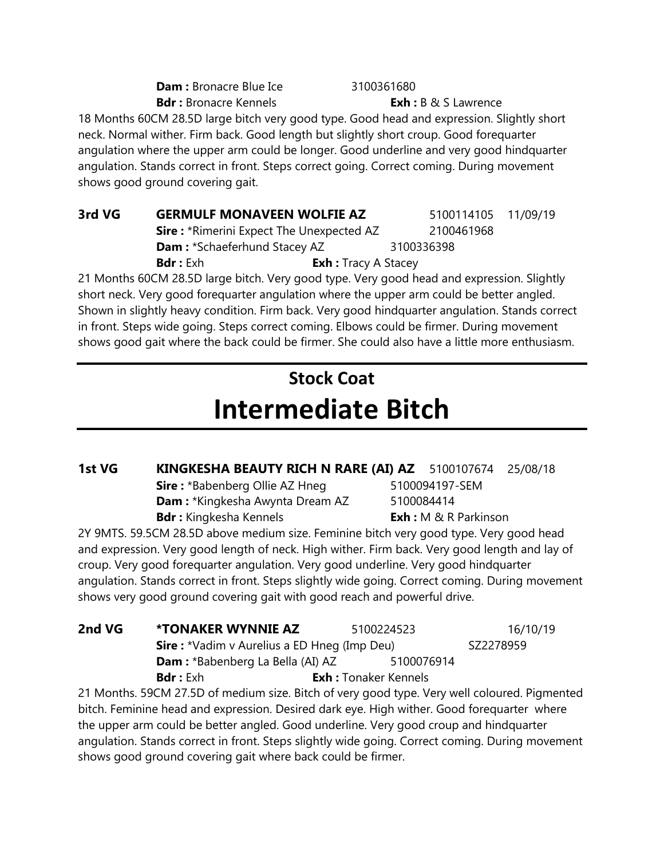**Dam :** Bronacre Blue Ice 3100361680 **Bdr**: Bronacre Kennels **Exh:** B & S Lawrence

18 Months 60CM 28.5D large bitch very good type. Good head and expression. Slightly short neck. Normal wither. Firm back. Good length but slightly short croup. Good forequarter angulation where the upper arm could be longer. Good underline and very good hindquarter angulation. Stands correct in front. Steps correct going. Correct coming. During movement shows good ground covering gait.

**3rd VG GERMULF MONAVEEN WOLFIE AZ** 5100114105 11/09/19 **Sire :** \*Rimerini Expect The Unexpected AZ 2100461968 **Dam :** \*Schaeferhund Stacey AZ 3100336398 **Bdr :** Exh **Exh :** Tracy A Stacey

21 Months 60CM 28.5D large bitch. Very good type. Very good head and expression. Slightly short neck. Very good forequarter angulation where the upper arm could be better angled. Shown in slightly heavy condition. Firm back. Very good hindquarter angulation. Stands correct in front. Steps wide going. Steps correct coming. Elbows could be firmer. During movement shows good gait where the back could be firmer. She could also have a little more enthusiasm.

## **Stock Coat Intermediate Bitch**

**1st VG KINGKESHA BEAUTY RICH N RARE (AI) AZ** 5100107674 25/08/18

**Sire :** \*Babenberg Ollie AZ Hneg 5100094197-SEM **Dam :** \*Kingkesha Awynta Dream AZ 5100084414 **Bdr**: Kingkesha Kennels **Exh**: M & R Parkinson

2Y 9MTS. 59.5CM 28.5D above medium size. Feminine bitch very good type. Very good head and expression. Very good length of neck. High wither. Firm back. Very good length and lay of croup. Very good forequarter angulation. Very good underline. Very good hindquarter angulation. Stands correct in front. Steps slightly wide going. Correct coming. During movement shows very good ground covering gait with good reach and powerful drive.

| 2nd VG | <b>*TONAKER WYNNIE AZ</b>                           | 5100224523                                                                         | 16/10/19  |
|--------|-----------------------------------------------------|------------------------------------------------------------------------------------|-----------|
|        | <b>Sire :</b> *Vadim v Aurelius a ED Hneg (Imp Deu) |                                                                                    | SZ2278959 |
|        | <b>Dam:</b> *Babenberg La Bella (AI) AZ             | 5100076914                                                                         |           |
|        | <b>Bdr</b> : $Exh$                                  | <b>Exh:</b> Tonaker Kennels                                                        |           |
|        |                                                     | 21 Menths FOCM 27 FD of modium sire Ditch of use good two Verwell coloured Diamont |           |

21 Months. 59CM 27.5D of medium size. Bitch of very good type. Very well coloured. Pigmented bitch. Feminine head and expression. Desired dark eye. High wither. Good forequarter where the upper arm could be better angled. Good underline. Very good croup and hindquarter angulation. Stands correct in front. Steps slightly wide going. Correct coming. During movement shows good ground covering gait where back could be firmer.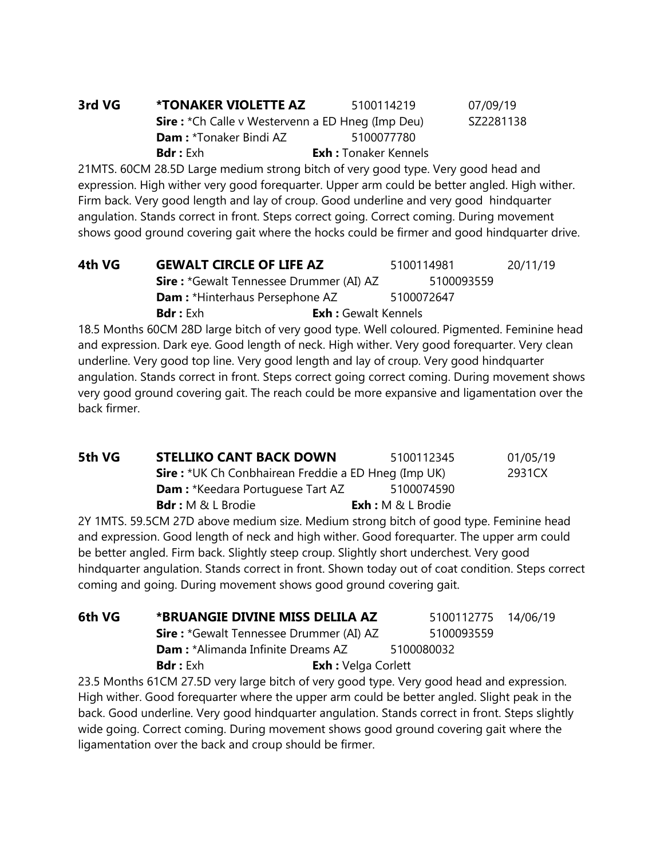| 3rd VG | <b>*TONAKER VIOLETTE AZ</b>                              | 5100114219                  | 07/09/19  |
|--------|----------------------------------------------------------|-----------------------------|-----------|
|        | <b>Sire :</b> *Ch Calle v Westervenn a ED Hneg (Imp Deu) |                             | SZ2281138 |
|        | <b>Dam: *Tonaker Bindi AZ</b>                            | 5100077780                  |           |
|        | <b>Bdr</b> : Exh                                         | <b>Exh:</b> Tonaker Kennels |           |

21MTS. 60CM 28.5D Large medium strong bitch of very good type. Very good head and expression. High wither very good forequarter. Upper arm could be better angled. High wither. Firm back. Very good length and lay of croup. Good underline and very good hindquarter angulation. Stands correct in front. Steps correct going. Correct coming. During movement shows good ground covering gait where the hocks could be firmer and good hindquarter drive.

| 4th VG | <b>GEWALT CIRCLE OF LIFE AZ</b>                |                            | 5100114981 | 20/11/19 |
|--------|------------------------------------------------|----------------------------|------------|----------|
|        | <b>Sire:</b> *Gewalt Tennessee Drummer (AI) AZ |                            | 5100093559 |          |
|        | <b>Dam:</b> *Hinterhaus Persephone AZ          |                            | 5100072647 |          |
|        | <b>Bdr</b> : Exh                               | <b>Exh:</b> Gewalt Kennels |            |          |

18.5 Months 60CM 28D large bitch of very good type. Well coloured. Pigmented. Feminine head and expression. Dark eye. Good length of neck. High wither. Very good forequarter. Very clean underline. Very good top line. Very good length and lay of croup. Very good hindquarter angulation. Stands correct in front. Steps correct going correct coming. During movement shows very good ground covering gait. The reach could be more expansive and ligamentation over the back firmer.

| 5th VG | <b>STELLIKO CANT BACK DOWN</b>                             | 5100112345           | 01/05/19 |
|--------|------------------------------------------------------------|----------------------|----------|
|        | <b>Sire:</b> *UK Ch Conbhairean Freddie a ED Hneg (Imp UK) |                      | 2931CX   |
|        | <b>Dam:</b> *Keedara Portuguese Tart AZ                    | 5100074590           |          |
|        | <b>Bdr</b> : M & L Brodie                                  | $Exh: M \& L$ Brodie |          |

2Y 1MTS. 59.5CM 27D above medium size. Medium strong bitch of good type. Feminine head and expression. Good length of neck and high wither. Good forequarter. The upper arm could be better angled. Firm back. Slightly steep croup. Slightly short underchest. Very good hindquarter angulation. Stands correct in front. Shown today out of coat condition. Steps correct coming and going. During movement shows good ground covering gait.

| 6th VG | *BRUANGIE DIVINE MISS DELILA AZ                |                            | 5100112775 14/06/19 |  |
|--------|------------------------------------------------|----------------------------|---------------------|--|
|        | <b>Sire: *Gewalt Tennessee Drummer (AI) AZ</b> |                            | 5100093559          |  |
|        | <b>Dam:</b> *Alimanda Infinite Dreams AZ       |                            | 5100080032          |  |
|        | <b>Bdr</b> : Exh                               | <b>Exh</b> : Velga Corlett |                     |  |

23.5 Months 61CM 27.5D very large bitch of very good type. Very good head and expression. High wither. Good forequarter where the upper arm could be better angled. Slight peak in the back. Good underline. Very good hindquarter angulation. Stands correct in front. Steps slightly wide going. Correct coming. During movement shows good ground covering gait where the ligamentation over the back and croup should be firmer.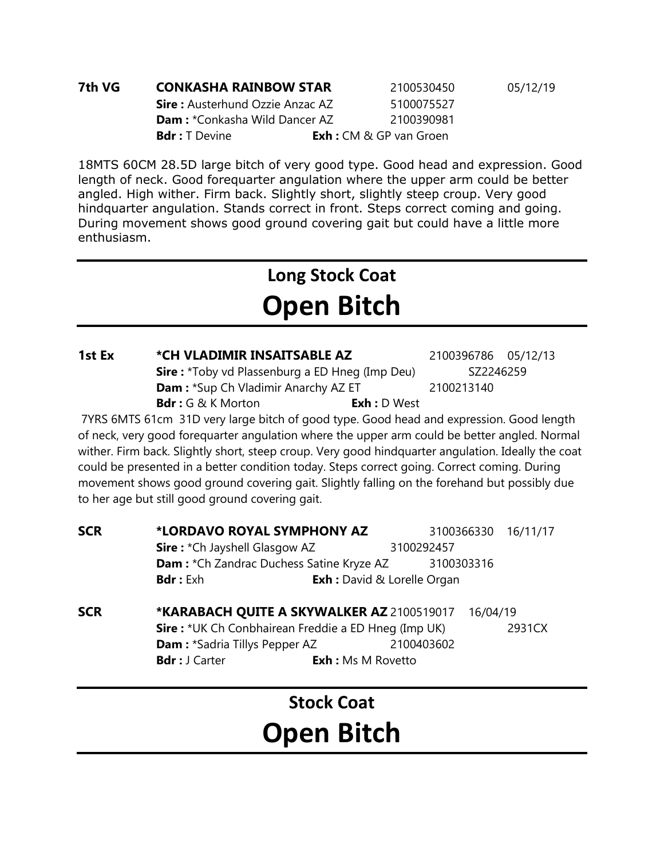| 7th VG | <b>CONKASHA RAINBOW STAR</b>           | 2100530450                        | 05/12/19 |
|--------|----------------------------------------|-----------------------------------|----------|
|        | <b>Sire:</b> Austerhund Ozzie Anzac AZ | 5100075527                        |          |
|        | <b>Dam:</b> *Conkasha Wild Dancer AZ   | 2100390981                        |          |
|        | <b>Bdr</b> : T Devine                  | <b>Exh</b> : CM $\&$ GP van Groen |          |

18MTS 60CM 28.5D large bitch of very good type. Good head and expression. Good length of neck. Good forequarter angulation where the upper arm could be better angled. High wither. Firm back. Slightly short, slightly steep croup. Very good hindquarter angulation. Stands correct in front. Steps correct coming and going. During movement shows good ground covering gait but could have a little more enthusiasm.

### **Long Stock Coat Open Bitch**

#### **1st Ex \*CH VLADIMIR INSAITSABLE AZ** 2100396786 05/12/13

**Sire :** \*Toby vd Plassenburg a ED Hneg (Imp Deu) SZ2246259 **Dam :** \*Sup Ch Vladimir Anarchy AZ ET 2100213140 **Bdr :** G & K Morton **Exh :** D West

7YRS 6MTS 61cm 31D very large bitch of good type. Good head and expression. Good length of neck, very good forequarter angulation where the upper arm could be better angled. Normal wither. Firm back. Slightly short, steep croup. Very good hindquarter angulation. Ideally the coat could be presented in a better condition today. Steps correct going. Correct coming. During movement shows good ground covering gait. Slightly falling on the forehand but possibly due to her age but still good ground covering gait.

| <b>SCR</b> | *LORDAVO ROYAL SYMPHONY AZ                                 |                                    |            | 3100366330 16/11/17 |  |
|------------|------------------------------------------------------------|------------------------------------|------------|---------------------|--|
|            | <b>Sire: *</b> Ch Jayshell Glasgow AZ                      |                                    | 3100292457 |                     |  |
|            | Dam: * Ch Zandrac Duchess Satine Kryze AZ<br>3100303316    |                                    |            |                     |  |
|            | <b>Bdr</b> : Exh                                           | <b>Exh :</b> David & Lorelle Organ |            |                     |  |
| <b>SCR</b> | *KARABACH QUITE A SKYWALKER AZ 2100519017                  |                                    |            | 16/04/19            |  |
|            | <b>Sire:</b> *UK Ch Conbhairean Freddie a ED Hneg (Imp UK) |                                    |            | 2931CX              |  |
|            | <b>Dam: *Sadria Tillys Pepper AZ</b>                       |                                    | 2100403602 |                     |  |
|            | <b>Bdr</b> : J Carter                                      | <b>Exh:</b> Ms M Rovetto           |            |                     |  |

**Stock Coat Open Bitch**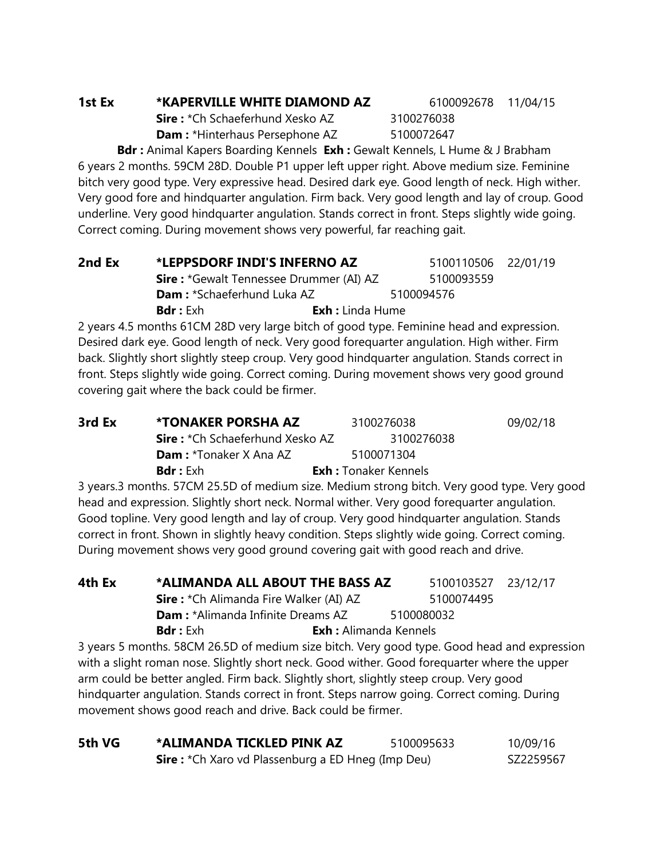#### **1st Ex \*KAPERVILLE WHITE DIAMOND AZ** 6100092678 11/04/15

**Sire :** \*Ch Schaeferhund Xesko AZ 3100276038 **Dam :** \*Hinterhaus Persephone AZ 5100072647

**Bdr :** Animal Kapers Boarding Kennels **Exh :** Gewalt Kennels, L Hume & J Brabham 6 years 2 months. 59CM 28D. Double P1 upper left upper right. Above medium size. Feminine bitch very good type. Very expressive head. Desired dark eye. Good length of neck. High wither. Very good fore and hindquarter angulation. Firm back. Very good length and lay of croup. Good underline. Very good hindquarter angulation. Stands correct in front. Steps slightly wide going. Correct coming. During movement shows very powerful, far reaching gait.

| 2nd Ex | *LEPPSDORF INDI'S INFERNO AZ                   |                         | 5100110506 22/01/19 |  |
|--------|------------------------------------------------|-------------------------|---------------------|--|
|        | <b>Sire: *Gewalt Tennessee Drummer (AI) AZ</b> |                         | 5100093559          |  |
|        | <b>Dam:</b> *Schaeferhund Luka AZ              |                         | 5100094576          |  |
|        | <b>Bdr</b> : Exh                               | <b>Exh</b> : Linda Hume |                     |  |

2 years 4.5 months 61CM 28D very large bitch of good type. Feminine head and expression. Desired dark eye. Good length of neck. Very good forequarter angulation. High wither. Firm back. Slightly short slightly steep croup. Very good hindquarter angulation. Stands correct in front. Steps slightly wide going. Correct coming. During movement shows very good ground covering gait where the back could be firmer.

| 3rd Ex | *TONAKER PORSHA AZ                     | 3100276038                  | 09/02/18 |
|--------|----------------------------------------|-----------------------------|----------|
|        | <b>Sire:</b> *Ch Schaeferhund Xesko AZ | 3100276038                  |          |
|        | <b>Dam</b> : *Tonaker X Ana AZ         | 5100071304                  |          |
|        | <b>Bdr</b> : Exh                       | <b>Exh:</b> Tonaker Kennels |          |

3 years.3 months. 57CM 25.5D of medium size. Medium strong bitch. Very good type. Very good head and expression. Slightly short neck. Normal wither. Very good forequarter angulation. Good topline. Very good length and lay of croup. Very good hindquarter angulation. Stands correct in front. Shown in slightly heavy condition. Steps slightly wide going. Correct coming. During movement shows very good ground covering gait with good reach and drive.

| 4th Ex | *ALIMANDA ALL ABOUT THE BASS AZ                                                         |                              | 5100103527 23/12/17 |  |
|--------|-----------------------------------------------------------------------------------------|------------------------------|---------------------|--|
|        | <b>Sire:</b> *Ch Alimanda Fire Walker (AI) AZ                                           |                              | 5100074495          |  |
|        | <b>Dam:</b> *Alimanda Infinite Dreams AZ                                                |                              | 5100080032          |  |
|        | <b>Bdr</b> : Exh                                                                        | <b>Exh:</b> Alimanda Kennels |                     |  |
|        | 3 years 5 months, 58CM 26.5D of medium size bitch. Very good type, Good head and expres |                              |                     |  |

26.5D of medium size bitch. Very good type. Good head and expression  $\,$ with a slight roman nose. Slightly short neck. Good wither. Good forequarter where the upper arm could be better angled. Firm back. Slightly short, slightly steep croup. Very good hindquarter angulation. Stands correct in front. Steps narrow going. Correct coming. During movement shows good reach and drive. Back could be firmer.

| 5th VG | *ALIMANDA TICKLED PINK AZ                                | 5100095633 | 10/09/16  |
|--------|----------------------------------------------------------|------------|-----------|
|        | <b>Sire:</b> *Ch Xaro vd Plassenburg a ED Hneg (Imp Deu) |            | SZ2259567 |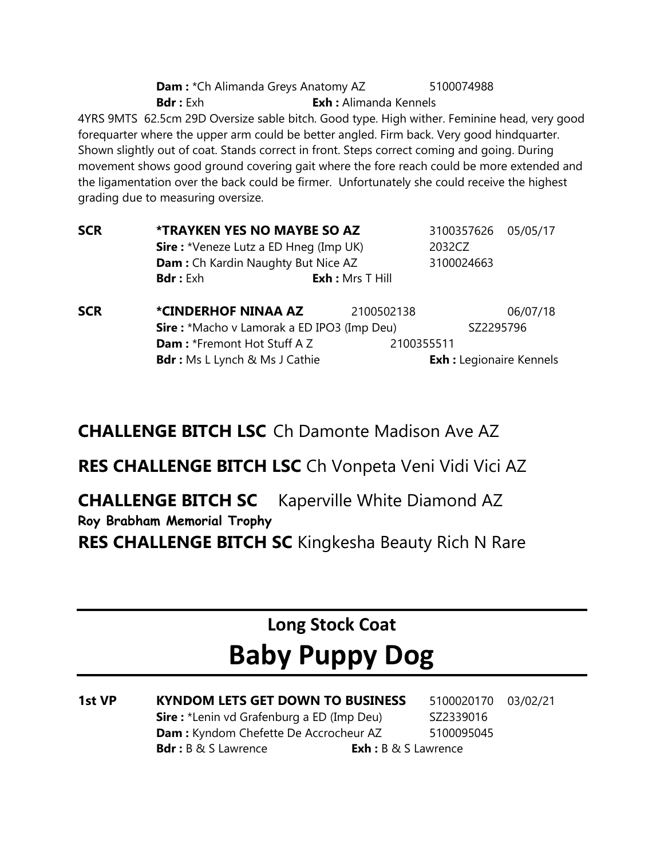**Dam :** \*Ch Alimanda Greys Anatomy AZ 5100074988 **Bdr :** Exh : Alimanda Kennels 4YRS 9MTS 62.5cm 29D Oversize sable bitch. Good type. High wither. Feminine head, very good forequarter where the upper arm could be better angled. Firm back. Very good hindquarter. Shown slightly out of coat. Stands correct in front. Steps correct coming and going. During movement shows good ground covering gait where the fore reach could be more extended and the ligamentation over the back could be firmer. Unfortunately she could receive the highest grading due to measuring oversize.

| <b>SCR</b> | <b>*TRAYKEN YES NO MAYBE SO AZ</b>        |                                               | 3100357626 05/05/17 |  |
|------------|-------------------------------------------|-----------------------------------------------|---------------------|--|
|            |                                           | <b>Sire :</b> *Veneze Lutz a ED Hneg (Imp UK) | 2032CZ              |  |
|            | <b>Dam:</b> Ch Kardin Naughty But Nice AZ |                                               | 3100024663          |  |
|            | <b>Bdr</b> : Exh                          | $Exh : Mrs$ T Hill                            |                     |  |
|            |                                           |                                               |                     |  |

**SCR \*CINDERHOF NINAA AZ** 2100502138 06/07/18 **Sire :** \*Macho v Lamorak a ED IPO3 (Imp Deu) SZ2295796 **Dam :** \*Fremont Hot Stuff A Z 2100355511 **Bdr :** Ms L Lynch & Ms J Cathie **Exh :** Legionaire Kennels

**CHALLENGE BITCH LSC** Ch Damonte Madison Ave AZ

**RES CHALLENGE BITCH LSC** Ch Vonpeta Veni Vidi Vici AZ

**CHALLENGE BITCH SC** Kaperville White Diamond AZ **Roy Brabham Memorial Trophy RES CHALLENGE BITCH SC** Kingkesha Beauty Rich N Rare

# **Long Stock Coat**

# **Baby Puppy Dog**

| 1st VP | <b>KYNDOM LETS GET DOWN TO BUSINESS</b>          |                                | 5100020170 | 03/02/21 |
|--------|--------------------------------------------------|--------------------------------|------------|----------|
|        | <b>Sire:</b> *Lenin vd Grafenburg a ED (Imp Deu) |                                | SZ2339016  |          |
|        | <b>Dam:</b> Kyndom Chefette De Accrocheur AZ     |                                | 5100095045 |          |
|        | <b>Bdr</b> : $B \& S$ Lawrence                   | <b>Exh</b> : $B \& S$ Lawrence |            |          |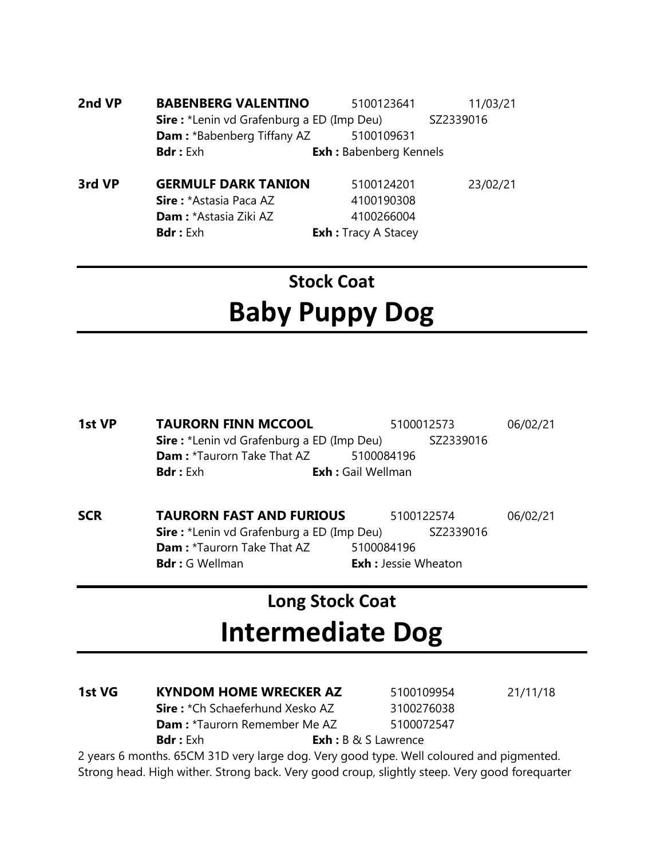**2nd VP BABENBERG VALENTINO** 5100123641 11/03/21 **Sire :** \*Lenin vd Grafenburg a ED (Imp Deu) SZ2339016 **Dam :** \*Babenberg Tiffany AZ 5100109631 **Bdr :** Exh **Exh :** Babenberg Kennels

**3rd VP GERMULF DARK TANION** 5100124201 23/02/21 **Sire :** \*Astasia Paca AZ 4100190308 **Dam :** \*Astasia Ziki AZ 4100266004 **Bdr :** Exh **Exh :** Tracy A Stacey

# **Stock Coat Baby Puppy Dog**

| 1st VP | <b>TAURORN FINN MCCOOL</b>                                    |            | 5100012573 |  |
|--------|---------------------------------------------------------------|------------|------------|--|
|        | <b>Sire:</b> *Lenin vd Grafenburg a ED (Imp Deu)<br>SZ2339016 |            |            |  |
|        | <b>Dam:</b> *Taurorn Take That AZ                             | 5100084196 |            |  |
|        | <b>Exh:</b> Gail Wellman<br><b>Bdr</b> : Exh                  |            |            |  |
|        |                                                               |            |            |  |
|        |                                                               |            |            |  |

**SCR TAURORN FAST AND FURIOUS** 5100122574 06/02/21 **Sire :** \*Lenin vd Grafenburg a ED (Imp Deu) SZ2339016 **Dam :** \*Taurorn Take That AZ 5100084196 **Bdr**: G Wellman **Exh**: Jessie Wheaton

### **Long Stock Coat Intermediate Dog**

| 1st VG | <b>KYNDOM HOME WRECKER AZ</b>          | 5100109954                     | 21/11/18 |
|--------|----------------------------------------|--------------------------------|----------|
|        | <b>Sire:</b> *Ch Schaeferhund Xesko AZ | 3100276038                     |          |
|        | <b>Dam:</b> *Taurorn Remember Me AZ    | 5100072547                     |          |
|        | <b>Bdr</b> : Exh                       | <b>Exh</b> : $B \& S$ Lawrence |          |

2 years 6 months. 65CM 31D very large dog. Very good type. Well coloured and pigmented. Strong head. High wither. Strong back. Very good croup, slightly steep. Very good forequarter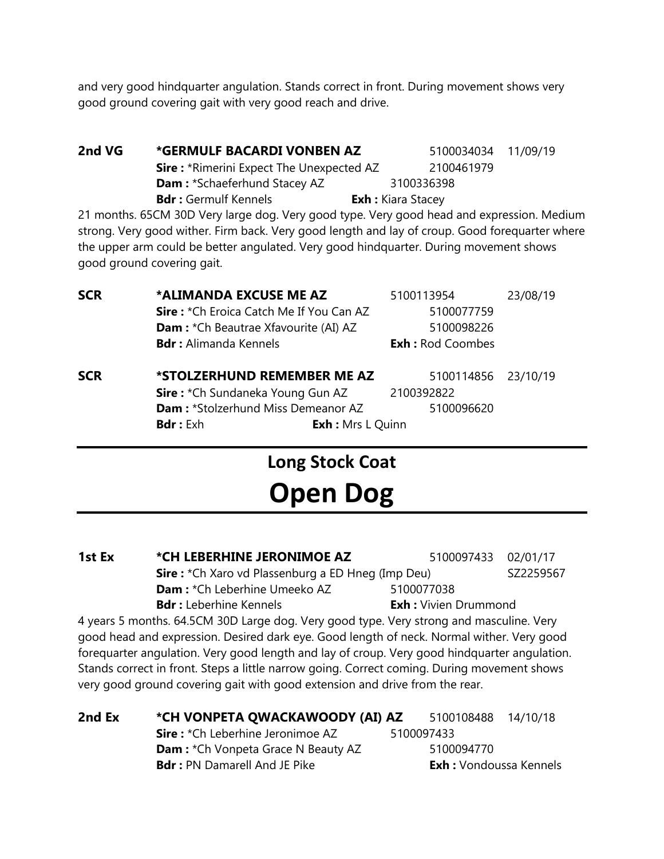and very good hindquarter angulation. Stands correct in front. During movement shows very good ground covering gait with very good reach and drive.

**2nd VG \*GERMULF BACARDI VONBEN AZ** 5100034034 11/09/19 **Sire :** \*Rimerini Expect The Unexpected AZ 2100461979 **Dam :** \*Schaeferhund Stacey AZ 3100336398 **Bdr :** Germulf Kennels **Exh :** Kiara Stacey

21 months. 65CM 30D Very large dog. Very good type. Very good head and expression. Medium strong. Very good wither. Firm back. Very good length and lay of croup. Good forequarter where the upper arm could be better angulated. Very good hindquarter. During movement shows good ground covering gait.

| <b>SCR</b> | *ALIMANDA EXCUSE ME AZ                      | 5100113954              | 23/08/19 |
|------------|---------------------------------------------|-------------------------|----------|
|            | Sire: *Ch Eroica Catch Me If You Can AZ     | 5100077759              |          |
|            | <b>Dam:</b> *Ch Beautrae Xfavourite (AI) AZ | 5100098226              |          |
|            | <b>Bdr:</b> Alimanda Kennels                | <b>Exh: Rod Coombes</b> |          |
| <b>SCR</b> | *STOLZERHUND REMEMBER ME AZ                 | 5100114856 23/10/19     |          |
|            | Sire: *Ch Sundaneka Young Gun AZ            | 2100392822              |          |
|            | Dam: *Stolzerhund Miss Demeanor AZ          | 5100096620              |          |
|            | <b>Bdr:</b> Exh<br><b>Exh:</b> Mrs L Quinn  |                         |          |

#### **Long Stock Coat**

# **Open Dog**

**1st Ex \*CH LEBERHINE JERONIMOE AZ** 5100097433 02/01/17 **Sire :** \*Ch Xaro vd Plassenburg a ED Hneg (Imp Deu) SZ2259567 **Dam :** \*Ch Leberhine Umeeko AZ 5100077038 **Bdr :** Leberhine Kennels **Exh :** Vivien Drummond

4 years 5 months. 64.5CM 30D Large dog. Very good type. Very strong and masculine. Very good head and expression. Desired dark eye. Good length of neck. Normal wither. Very good forequarter angulation. Very good length and lay of croup. Very good hindquarter angulation. Stands correct in front. Steps a little narrow going. Correct coming. During movement shows very good ground covering gait with good extension and drive from the rear.

| 2nd Ex | *CH VONPETA QWACKAWOODY (AI) AZ           | 5100108488 14/10/18           |  |
|--------|-------------------------------------------|-------------------------------|--|
|        | <b>Sire:</b> *Ch Leberhine Jeronimoe AZ   | 5100097433                    |  |
|        | <b>Dam:</b> *Ch Vonpeta Grace N Beauty AZ | 5100094770                    |  |
|        | <b>Bdr: PN Damarell And JE Pike</b>       | <b>Exh:</b> Vondoussa Kennels |  |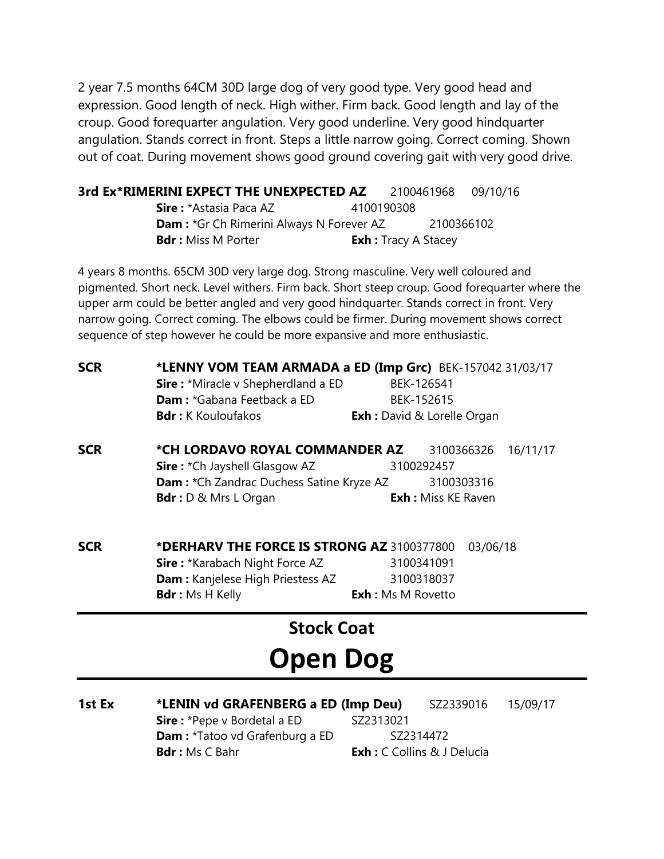2 year 7.5 months 64CM 30D large dog of very good type. Very good head and expression. Good length of neck. High wither. Firm back. Good length and lay of the croup. Good forequarter angulation. Very good underline. Very good hindquarter angulation. Stands correct in front. Steps a little narrow going. Correct coming. Shown out of coat. During movement shows good ground covering gait with very good drive.

| 3rd Ex*RIMERINI EXPECT THE UNEXPECTED AZ        |            | 2100461968 09/10/16 |  |
|-------------------------------------------------|------------|---------------------|--|
| <b>Sire : *Astasia Paca AZ</b>                  | 4100190308 |                     |  |
| <b>Dam:</b> *Gr Ch Rimerini Always N Forever AZ |            | 2100366102          |  |

**Bdr :** Miss M Porter **Exh :** Tracy A Stacey

4 years 8 months. 65CM 30D very large dog. Strong masculine. Very well coloured and pigmented. Short neck. Level withers. Firm back. Short steep croup. Good forequarter where the upper arm could be better angled and very good hindquarter. Stands correct in front. Very narrow going. Correct coming. The elbows could be firmer. During movement shows correct sequence of step however he could be more expansive and more enthusiastic.

| <b>SCR</b> | *LENNY VOM TEAM ARMADA a ED (Imp Grc) BEK-157042 31/03/17<br><b>Sire:</b> *Miracle v Shepherdland a ED | BEK-126541                         |          |
|------------|--------------------------------------------------------------------------------------------------------|------------------------------------|----------|
|            | Dam: *Gabana Feetback a ED                                                                             | BEK-152615                         |          |
|            | <b>Bdr</b> : K Kouloufakos                                                                             | <b>Exh</b> : David & Lorelle Organ |          |
| <b>SCR</b> | *CH LORDAVO ROYAL COMMANDER AZ                                                                         | 3100366326                         | 16/11/17 |
|            | <b>Sire: *Ch Jayshell Glasgow AZ</b>                                                                   | 3100292457                         |          |
|            | <b>Dam:</b> *Ch Zandrac Duchess Satine Kryze AZ                                                        | 3100303316                         |          |
|            | <b>Bdr</b> : D & Mrs L Organ                                                                           | <b>Exh:</b> Miss KE Raven          |          |
| <b>SCR</b> | *DERHARV THE FORCE IS STRONG AZ 3100377800                                                             |                                    | 03/06/18 |
|            | <b>Sire: *Karabach Night Force AZ</b>                                                                  | 3100341091                         |          |
|            | Dam: Kanjelese High Priestess AZ                                                                       | 3100318037                         |          |
|            | <b>Bdr</b> : Ms H Kelly                                                                                | <b>Exh:</b> Ms M Rovetto           |          |
|            | <b>Stock Coat</b>                                                                                      |                                    |          |

# **Open Dog**

| 1st Ex | *LENIN vd GRAFENBERG a ED (Imp Deu)   |           | SZ2339016                          | 15/09/17 |
|--------|---------------------------------------|-----------|------------------------------------|----------|
|        | <b>Sire:</b> *Pepe v Bordetal a ED    | SZ2313021 |                                    |          |
|        | <b>Dam:</b> *Tatoo vd Grafenburg a ED |           | SZ2314472                          |          |
|        | <b>Bdr</b> : Ms C Bahr                |           | <b>Exh</b> : C Collins & J Delucia |          |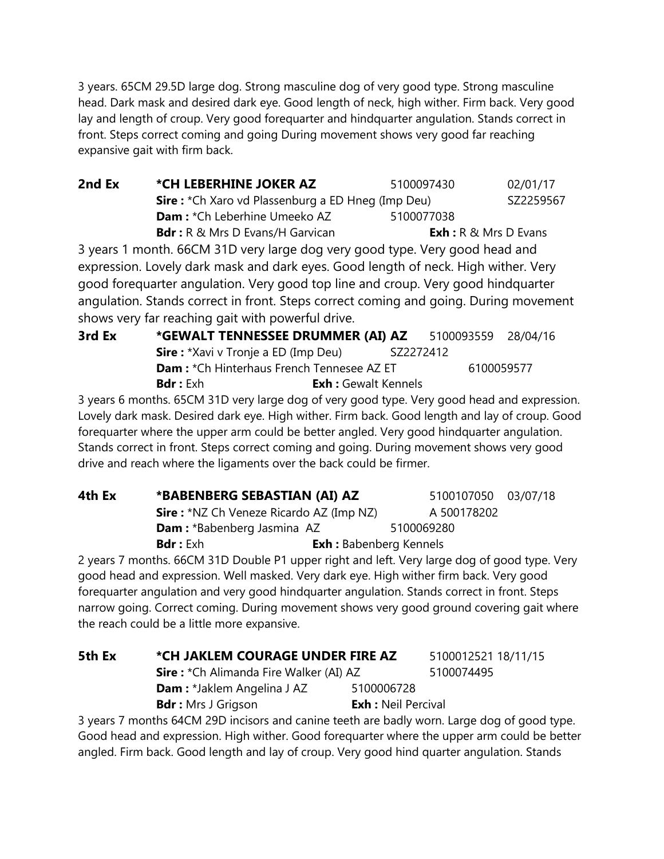3 years. 65CM 29.5D large dog. Strong masculine dog of very good type. Strong masculine head. Dark mask and desired dark eye. Good length of neck, high wither. Firm back. Very good lay and length of croup. Very good forequarter and hindquarter angulation. Stands correct in front. Steps correct coming and going During movement shows very good far reaching expansive gait with firm back.

**2nd Ex**  $\bullet$  **\*CH LEBERHINE JOKER AZ** 5100097430 02/01/17 **Sire :** \*Ch Xaro vd Plassenburg a ED Hneg (Imp Deu) SZ2259567 **Dam :** \*Ch Leberhine Umeeko AZ 5100077038 **Bdr**: R & Mrs D Evans/H Garvican **Exh:** R & Mrs D Evans 3 years 1 month. 66CM 31D very large dog very good type. Very good head and

expression. Lovely dark mask and dark eyes. Good length of neck. High wither. Very good forequarter angulation. Very good top line and croup. Very good hindquarter angulation. Stands correct in front. Steps correct coming and going. During movement shows very far reaching gait with powerful drive.

**3rd Ex \*GEWALT TENNESSEE DRUMMER (AI) AZ** 5100093559 28/04/16 **Sire :** \*Xavi v Tronje a ED (Imp Deu) SZ2272412 **Dam :** \*Ch Hinterhaus French Tennesee AZ ET 6100059577 **Bdr :** Exh **Exh :** Gewalt Kennels

3 years 6 months. 65CM 31D very large dog of very good type. Very good head and expression. Lovely dark mask. Desired dark eye. High wither. Firm back. Good length and lay of croup. Good forequarter where the upper arm could be better angled. Very good hindquarter angulation. Stands correct in front. Steps correct coming and going. During movement shows very good drive and reach where the ligaments over the back could be firmer.

| 4th Ex | *BABENBERG SEBASTIAN (AI) AZ                                                                                                                                                                                                          |                               | 5100107050 03/07/18 |  |
|--------|---------------------------------------------------------------------------------------------------------------------------------------------------------------------------------------------------------------------------------------|-------------------------------|---------------------|--|
|        | <b>Sire:</b> *NZ Ch Veneze Ricardo AZ (Imp NZ)                                                                                                                                                                                        |                               | A 500178202         |  |
|        | <b>Dam:</b> *Babenberg Jasmina AZ                                                                                                                                                                                                     |                               | 5100069280          |  |
|        | <b>Bdr</b> : Exh                                                                                                                                                                                                                      | <b>Exh:</b> Babenberg Kennels |                     |  |
|        | $\gamma$ , and $\gamma$ is a set of the set of the set of the set of the set of the set of the set of the set of the set of the set of the set of the set of the set of the set of the set of the set of the set of the set of the se |                               |                     |  |

2 years 7 months. 66CM 31D Double P1 upper right and left. Very large dog of good type. Very good head and expression. Well masked. Very dark eye. High wither firm back. Very good forequarter angulation and very good hindquarter angulation. Stands correct in front. Steps narrow going. Correct coming. During movement shows very good ground covering gait where the reach could be a little more expansive.

| 5th Ex | *CH JAKLEM COURAGE UNDER FIRE AZ              |                           | 5100012521 18/11/15 |
|--------|-----------------------------------------------|---------------------------|---------------------|
|        | <b>Sire:</b> *Ch Alimanda Fire Walker (AI) AZ |                           | 5100074495          |
|        | <b>Dam:</b> *Jaklem Angelina J AZ             | 5100006728                |                     |
|        | <b>Bdr</b> : Mrs J Grigson                    | <b>Exh:</b> Neil Percival |                     |

3 years 7 months 64CM 29D incisors and canine teeth are badly worn. Large dog of good type. Good head and expression. High wither. Good forequarter where the upper arm could be better angled. Firm back. Good length and lay of croup. Very good hind quarter angulation. Stands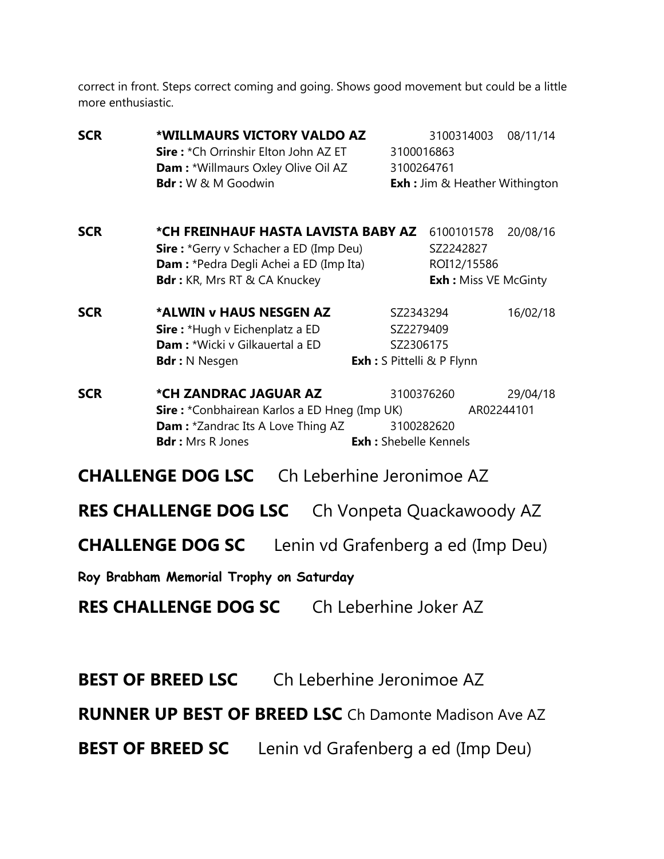correct in front. Steps correct coming and going. Shows good movement but could be a little more enthusiastic.

| <b>SCR</b> | *WILLMAURS VICTORY VALDO AZ<br>Sire: *Ch Orrinshir Elton John AZ ET<br>Dam: *Willmaurs Oxley Olive Oil AZ                                                      |                       | 3100314003<br>3100016863<br>3100264761                                  | 08/11/14               |
|------------|----------------------------------------------------------------------------------------------------------------------------------------------------------------|-----------------------|-------------------------------------------------------------------------|------------------------|
|            | Bdr: W & M Goodwin                                                                                                                                             |                       | <b>Exh:</b> Jim & Heather Withington                                    |                        |
| <b>SCR</b> | *CH FREINHAUF HASTA LAVISTA BABY AZ<br><b>Sire:</b> *Gerry v Schacher a ED (Imp Deu)<br>Dam: *Pedra Degli Achei a ED (Imp Ita)<br>Bdr: KR, Mrs RT & CA Knuckey |                       | 6100101578<br>SZ2242827<br>ROI12/15586<br><b>Exh: Miss VE McGinty</b>   | 20/08/16               |
| <b>SCR</b> | *ALWIN v HAUS NESGEN AZ<br>Sire: *Hugh v Eichenplatz a ED<br>Dam: *Wicki v Gilkauertal a ED<br><b>Bdr</b> : N Nesgen                                           |                       | SZ2343294<br>SZ2279409<br>SZ2306175<br><b>Exh:</b> S Pittelli & P Flynn | 16/02/18               |
| <b>SCR</b> | *CH ZANDRAC JAGUAR AZ<br>Sire: *Conbhairean Karlos a ED Hneg (Imp UK)<br><b>Dam: *Zandrac Its A Love Thing AZ</b><br><b>Bdr:</b> Mrs R Jones                   |                       | 3100376260<br>3100282620<br><b>Exh:</b> Shebelle Kennels                | 29/04/18<br>AR02244101 |
|            | <b>CHALLENGE DOG LSC</b>                                                                                                                                       |                       | Ch Leberhine Jeronimoe AZ                                               |                        |
|            | <b>RES CHALLENGE DOG LSC</b>                                                                                                                                   |                       | Ch Vonpeta Quackawoody AZ                                               |                        |
|            | <b>CHALLENGE DOG SC</b>                                                                                                                                        |                       | Lenin vd Grafenberg a ed (Imp Deu)                                      |                        |
|            | Roy Brabham Memorial Trophy on Saturday                                                                                                                        |                       |                                                                         |                        |
|            | <b>RES CHALLENGE DOG SC</b>                                                                                                                                    | Ch Leberhine Joker AZ |                                                                         |                        |

**BEST OF BREED LSC** Ch Leberhine Jeronimoe AZ

**RUNNER UP BEST OF BREED LSC** Ch Damonte Madison Ave AZ

**BEST OF BREED SC** Lenin vd Grafenberg a ed (Imp Deu)